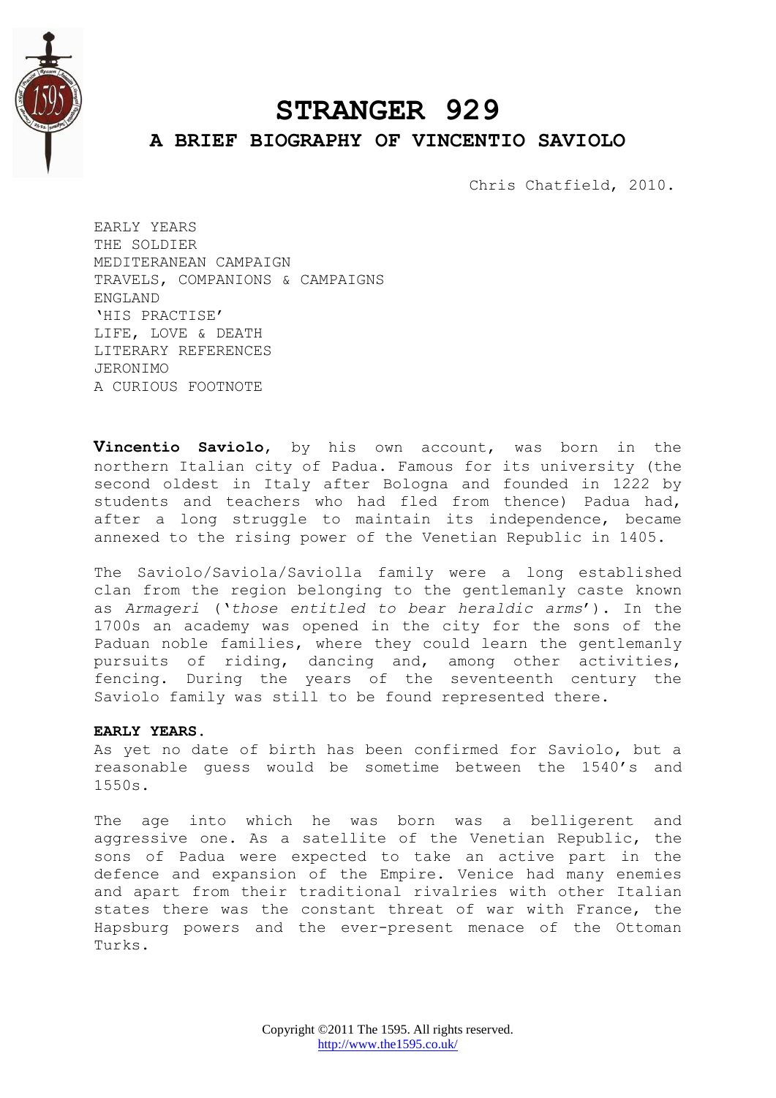

# **STRANGER 929 A BRIEF BIOGRAPHY OF VINCENTIO SAVIOLO**

Chris Chatfield, 2010.

EARLY YEARS THE SOLDIER MEDITERANEAN CAMPAIGN TRAVELS, COMPANIONS & CAMPAIGNS ENGLAND 'HIS PRACTISE' LIFE, LOVE & DEATH LITERARY REFERENCES JERONIMO A CURIOUS FOOTNOTE

**Vincentio Saviolo**, by his own account, was born in the northern Italian city of Padua. Famous for its university (the second oldest in Italy after Bologna and founded in 1222 by students and teachers who had fled from thence) Padua had, after a long struggle to maintain its independence, became annexed to the rising power of the Venetian Republic in 1405.

The Saviolo/Saviola/Saviolla family were a long established clan from the region belonging to the gentlemanly caste known as *Armageri* ("*those entitled to bear heraldic arms*"). In the 1700s an academy was opened in the city for the sons of the Paduan noble families, where they could learn the gentlemanly pursuits of riding, dancing and, among other activities, fencing. During the years of the seventeenth century the Saviolo family was still to be found represented there.

#### **EARLY YEARS.**

As yet no date of birth has been confirmed for Saviolo, but a reasonable guess would be sometime between the 1540"s and 1550s.

The age into which he was born was a belligerent and aggressive one. As a satellite of the Venetian Republic, the sons of Padua were expected to take an active part in the defence and expansion of the Empire. Venice had many enemies and apart from their traditional rivalries with other Italian states there was the constant threat of war with France, the Hapsburg powers and the ever-present menace of the Ottoman Turks.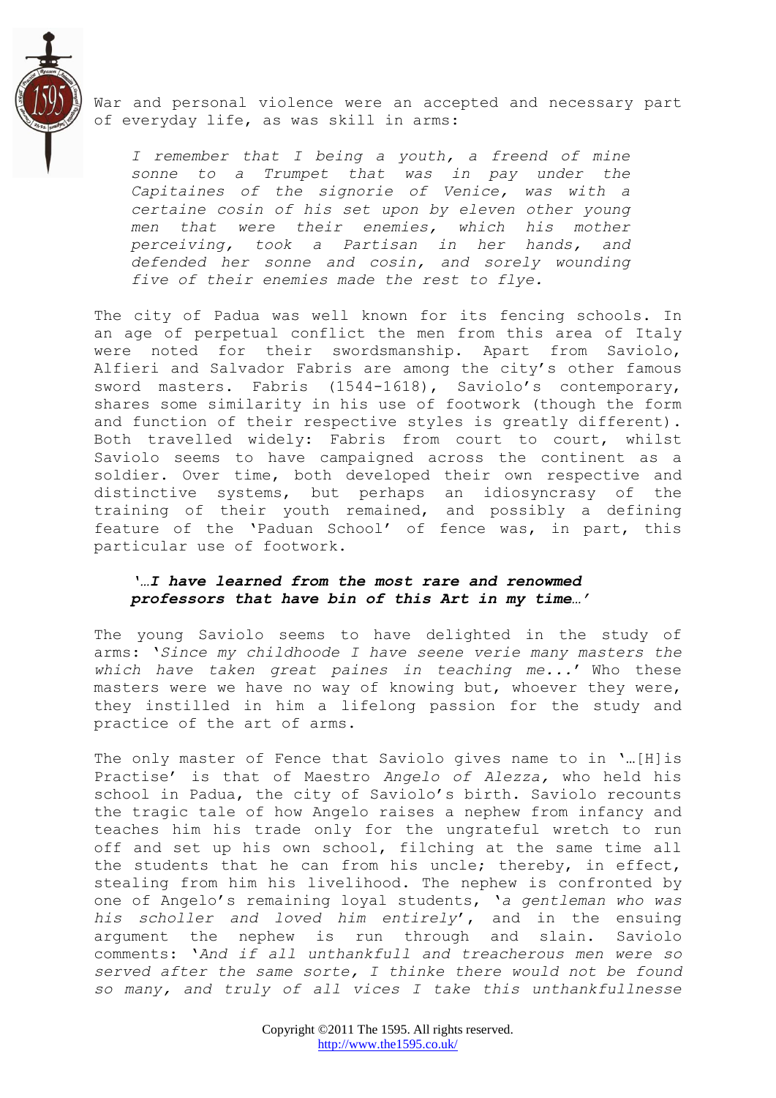

War and personal violence were an accepted and necessary part of everyday life, as was skill in arms:

*I remember that I being a youth, a freend of mine sonne to a Trumpet that was in pay under the Capitaines of the signorie of Venice, was with a certaine cosin of his set upon by eleven other young men that were their enemies, which his mother perceiving, took a Partisan in her hands, and defended her sonne and cosin, and sorely wounding five of their enemies made the rest to flye.*

The city of Padua was well known for its fencing schools. In an age of perpetual conflict the men from this area of Italy were noted for their swordsmanship. Apart from Saviolo, Alfieri and Salvador Fabris are among the city's other famous sword masters. Fabris (1544-1618), Saviolo's contemporary, shares some similarity in his use of footwork (though the form and function of their respective styles is greatly different). Both travelled widely: Fabris from court to court, whilst Saviolo seems to have campaigned across the continent as a soldier. Over time, both developed their own respective and distinctive systems, but perhaps an idiosyncrasy of the training of their youth remained, and possibly a defining feature of the "Paduan School" of fence was, in part, this particular use of footwork.

## *'…I have learned from the most rare and renowmed professors that have bin of this Art in my time…'*

The young Saviolo seems to have delighted in the study of arms: "*Since my childhoode I have seene verie many masters the which have taken great paines in teaching me...*" Who these masters were we have no way of knowing but, whoever they were, they instilled in him a lifelong passion for the study and practice of the art of arms.

The only master of Fence that Saviolo gives name to in '...[H]is Practise" is that of Maestro *Angelo of Alezza,* who held his school in Padua, the city of Saviolo's birth. Saviolo recounts the tragic tale of how Angelo raises a nephew from infancy and teaches him his trade only for the ungrateful wretch to run off and set up his own school, filching at the same time all the students that he can from his uncle; thereby, in effect, stealing from him his livelihood. The nephew is confronted by one of Angelo"s remaining loyal students, "*a gentleman who was his scholler and loved him entirely*", and in the ensuing argument the nephew is run through and slain. Saviolo comments: "*And if all unthankfull and treacherous men were so served after the same sorte, I thinke there would not be found so many, and truly of all vices I take this unthankfullnesse*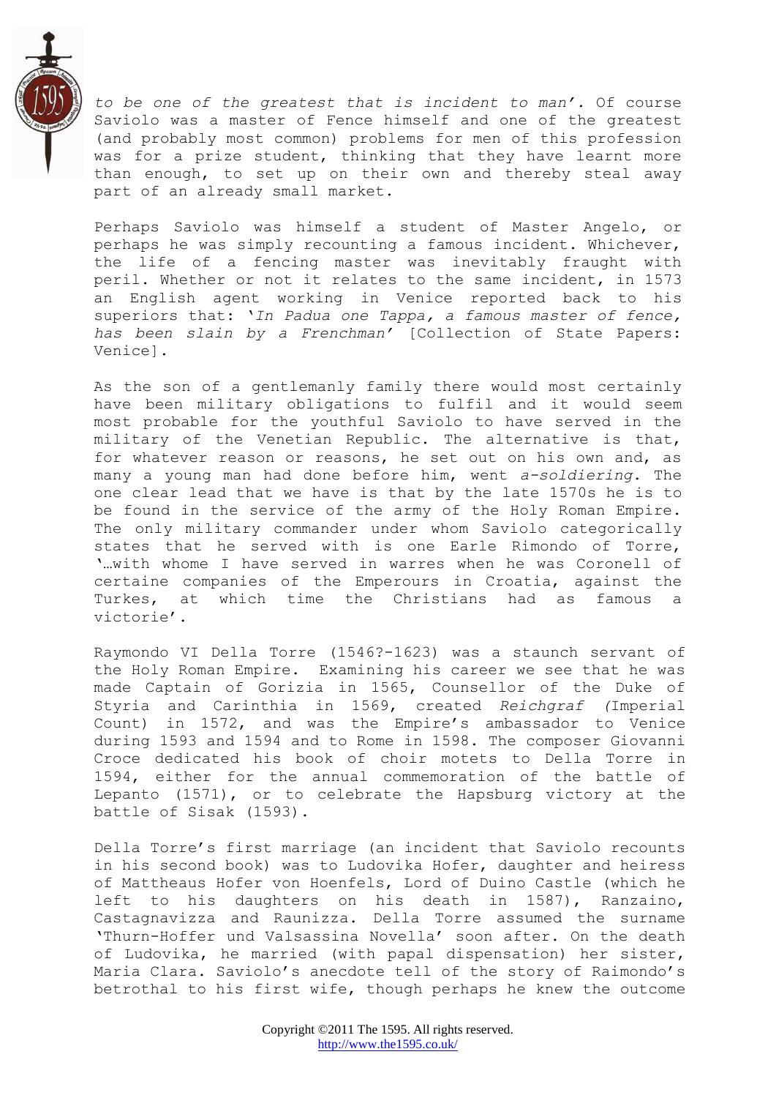

*to be one of the greatest that is incident to man".* Of course Saviolo was a master of Fence himself and one of the greatest (and probably most common) problems for men of this profession was for a prize student, thinking that they have learnt more than enough, to set up on their own and thereby steal away part of an already small market.

Perhaps Saviolo was himself a student of Master Angelo, or perhaps he was simply recounting a famous incident. Whichever, the life of a fencing master was inevitably fraught with peril. Whether or not it relates to the same incident, in 1573 an English agent working in Venice reported back to his superiors that: "*In Padua one Tappa, a famous master of fence, has been slain by a Frenchman"* [Collection of State Papers: Venice].

As the son of a gentlemanly family there would most certainly have been military obligations to fulfil and it would seem most probable for the youthful Saviolo to have served in the military of the Venetian Republic. The alternative is that, for whatever reason or reasons, he set out on his own and, as many a young man had done before him, went *a-soldiering*. The one clear lead that we have is that by the late 1570s he is to be found in the service of the army of the Holy Roman Empire. The only military commander under whom Saviolo categorically states that he served with is one Earle Rimondo of Torre, "…with whome I have served in warres when he was Coronell of certaine companies of the Emperours in Croatia, against the Turkes, at which time the Christians had as famous a victorie'.

Raymondo VI Della Torre (1546?-1623) was a staunch servant of the Holy Roman Empire. Examining his career we see that he was made Captain of Gorizia in 1565, Counsellor of the Duke of Styria and Carinthia in 1569, created *Reichgraf (*Imperial Count) in 1572, and was the Empire"s ambassador to Venice during 1593 and 1594 and to Rome in 1598. The composer Giovanni Croce dedicated his book of choir motets to Della Torre in 1594, either for the annual commemoration of the battle of Lepanto (1571), or to celebrate the Hapsburg victory at the battle of Sisak (1593).

Della Torre's first marriage (an incident that Saviolo recounts in his second book) was to Ludovika Hofer, daughter and heiress of Mattheaus Hofer von Hoenfels, Lord of Duino Castle (which he left to his daughters on his death in 1587), Ranzaino, Castagnavizza and Raunizza. Della Torre assumed the surname "Thurn-Hoffer und Valsassina Novella" soon after. On the death of Ludovika, he married (with papal dispensation) her sister, Maria Clara. Saviolo"s anecdote tell of the story of Raimondo"s betrothal to his first wife, though perhaps he knew the outcome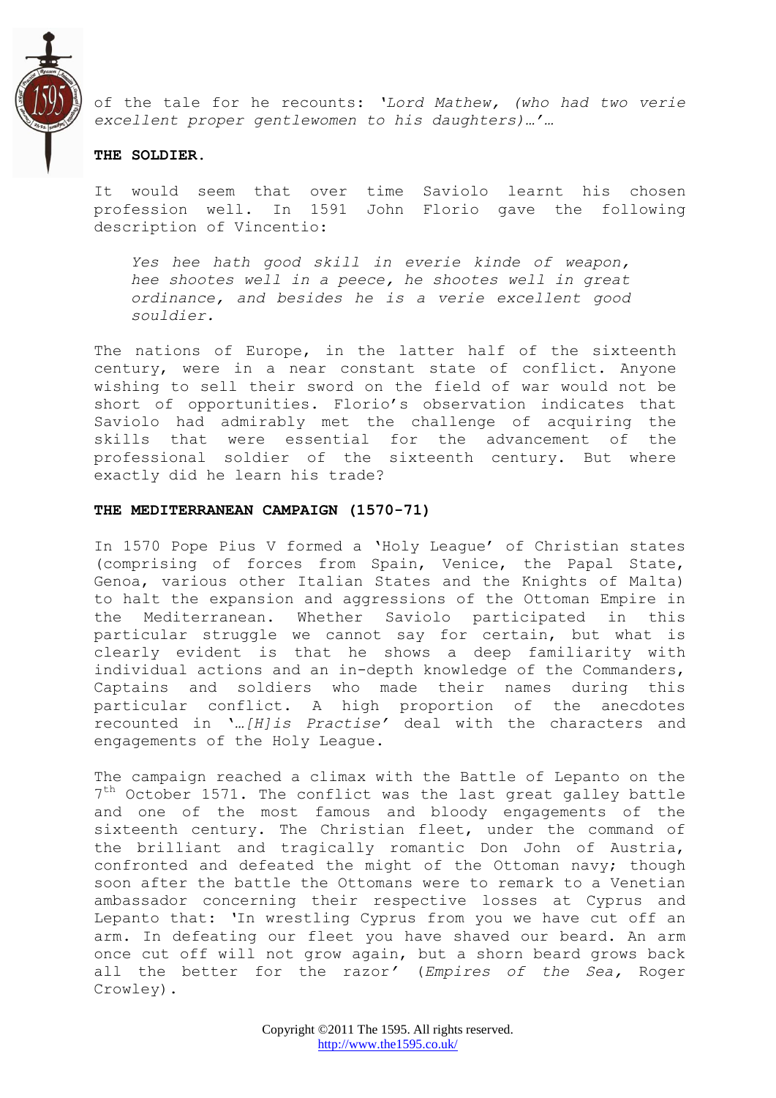

of the tale for he recounts: *"Lord Mathew, (who had two verie excellent proper gentlewomen to his daughters)…"…*

#### **THE SOLDIER.**

It would seem that over time Saviolo learnt his chosen profession well. In 1591 John Florio gave the following description of Vincentio:

*Yes hee hath good skill in everie kinde of weapon, hee shootes well in a peece, he shootes well in great ordinance, and besides he is a verie excellent good souldier.*

The nations of Europe, in the latter half of the sixteenth century, were in a near constant state of conflict. Anyone wishing to sell their sword on the field of war would not be short of opportunities. Florio"s observation indicates that Saviolo had admirably met the challenge of acquiring the skills that were essential for the advancement of the professional soldier of the sixteenth century. But where exactly did he learn his trade?

#### **THE MEDITERRANEAN CAMPAIGN (1570-71)**

In 1570 Pope Pius V formed a "Holy League" of Christian states (comprising of forces from Spain, Venice, the Papal State, Genoa, various other Italian States and the Knights of Malta) to halt the expansion and aggressions of the Ottoman Empire in the Mediterranean. Whether Saviolo participated in this particular struggle we cannot say for certain, but what is clearly evident is that he shows a deep familiarity with individual actions and an in-depth knowledge of the Commanders, Captains and soldiers who made their names during this particular conflict. A high proportion of the anecdotes recounted in "*…[H]is Practise"* deal with the characters and engagements of the Holy League.

The campaign reached a climax with the Battle of Lepanto on the 7<sup>th</sup> October 1571. The conflict was the last great galley battle and one of the most famous and bloody engagements of the sixteenth century. The Christian fleet, under the command of the brilliant and tragically romantic Don John of Austria, confronted and defeated the might of the Ottoman navy; though soon after the battle the Ottomans were to remark to a Venetian ambassador concerning their respective losses at Cyprus and Lepanto that: *"*In wrestling Cyprus from you we have cut off an arm. In defeating our fleet you have shaved our beard. An arm once cut off will not grow again, but a shorn beard grows back all the better for the razor*"* (*Empires of the Sea,* Roger Crowley).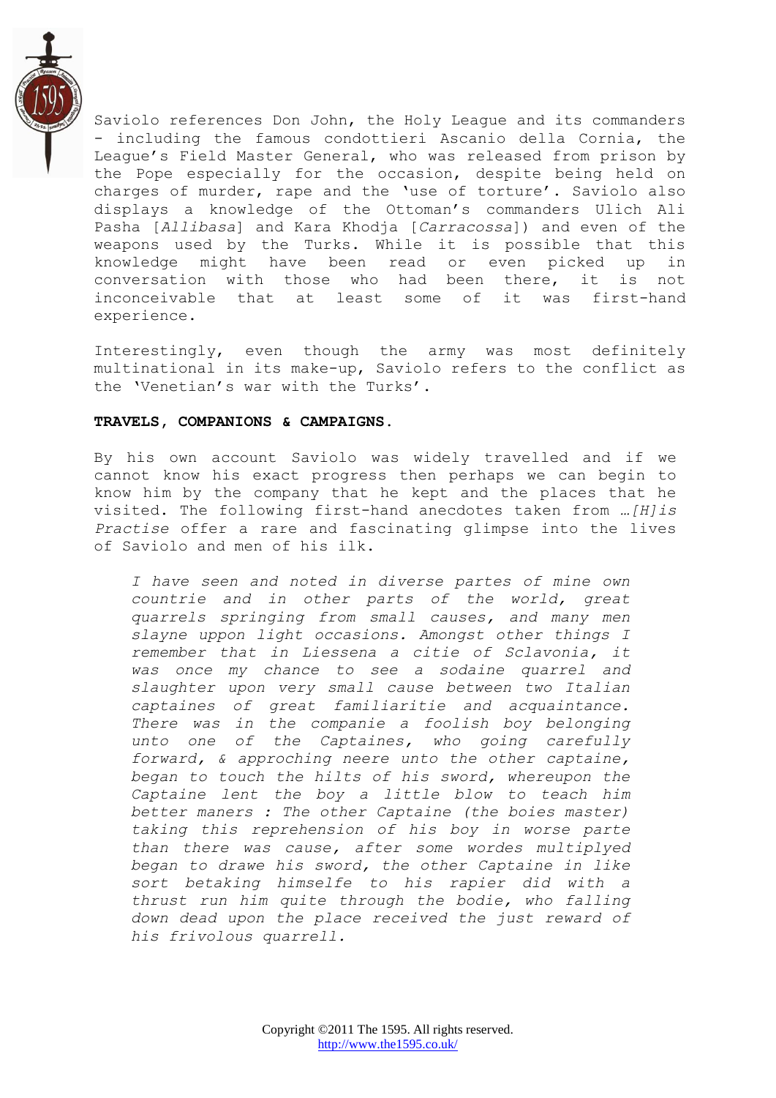

Saviolo references Don John, the Holy League and its commanders - including the famous condottieri Ascanio della Cornia, the League"s Field Master General, who was released from prison by the Pope especially for the occasion, despite being held on charges of murder, rape and the 'use of torture'. Saviolo also displays a knowledge of the Ottoman"s commanders Ulich Ali Pasha [*Allibasa*] and Kara Khodja [*Carracossa*]) and even of the weapons used by the Turks. While it is possible that this knowledge might have been read or even picked up in conversation with those who had been there, it is not inconceivable that at least some of it was first-hand experience.

Interestingly, even though the army was most definitely multinational in its make-up, Saviolo refers to the conflict as the 'Venetian's war with the Turks'.

## **TRAVELS, COMPANIONS & CAMPAIGNS.**

By his own account Saviolo was widely travelled and if we cannot know his exact progress then perhaps we can begin to know him by the company that he kept and the places that he visited. The following first-hand anecdotes taken from *…[H]is Practise* offer a rare and fascinating glimpse into the lives of Saviolo and men of his ilk.

*I have seen and noted in diverse partes of mine own countrie and in other parts of the world, great quarrels springing from small causes, and many men slayne uppon light occasions. Amongst other things I remember that in Liessena a citie of Sclavonia, it was once my chance to see a sodaine quarrel and slaughter upon very small cause between two Italian captaines of great familiaritie and acquaintance. There was in the companie a foolish boy belonging unto one of the Captaines, who going carefully forward, & approching neere unto the other captaine, began to touch the hilts of his sword, whereupon the Captaine lent the boy a little blow to teach him better maners : The other Captaine (the boies master) taking this reprehension of his boy in worse parte than there was cause, after some wordes multiplyed began to drawe his sword, the other Captaine in like sort betaking himselfe to his rapier did with a thrust run him quite through the bodie, who falling down dead upon the place received the just reward of his frivolous quarrell.*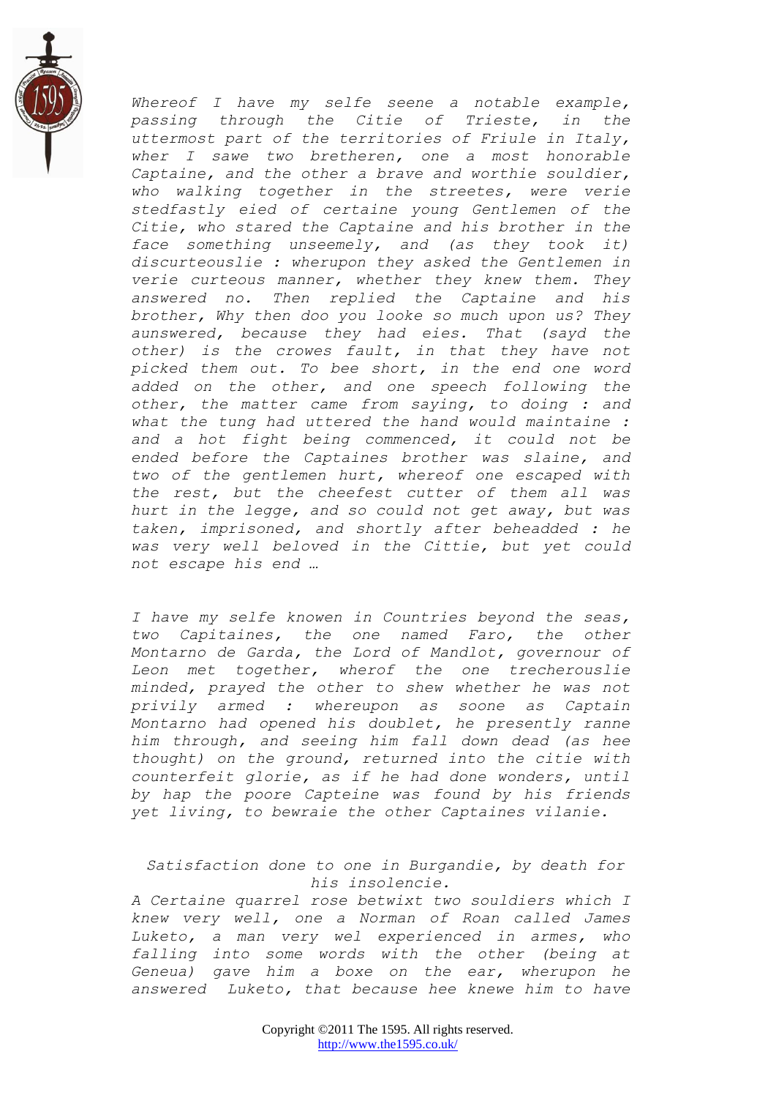

*Whereof I have my selfe seene a notable example, passing through the Citie of Trieste, in the uttermost part of the territories of Friule in Italy, wher I sawe two bretheren, one a most honorable Captaine, and the other a brave and worthie souldier, who walking together in the streetes, were verie stedfastly eied of certaine young Gentlemen of the Citie, who stared the Captaine and his brother in the face something unseemely, and (as they took it) discurteouslie : wherupon they asked the Gentlemen in verie curteous manner, whether they knew them. They answered no. Then replied the Captaine and his brother, Why then doo you looke so much upon us? They aunswered, because they had eies. That (sayd the other) is the crowes fault, in that they have not picked them out. To bee short, in the end one word added on the other, and one speech following the other, the matter came from saying, to doing : and what the tung had uttered the hand would maintaine : and a hot fight being commenced, it could not be ended before the Captaines brother was slaine, and two of the gentlemen hurt, whereof one escaped with the rest, but the cheefest cutter of them all was hurt in the legge, and so could not get away, but was taken, imprisoned, and shortly after beheadded : he was very well beloved in the Cittie, but yet could not escape his end …*

*I have my selfe knowen in Countries beyond the seas, two Capitaines, the one named Faro, the other Montarno de Garda, the Lord of Mandlot, governour of Leon met together, wherof the one trecherouslie minded, prayed the other to shew whether he was not privily armed : whereupon as soone as Captain Montarno had opened his doublet, he presently ranne him through, and seeing him fall down dead (as hee thought) on the ground, returned into the citie with counterfeit glorie, as if he had done wonders, until by hap the poore Capteine was found by his friends yet living, to bewraie the other Captaines vilanie.*

*Satisfaction done to one in Burgandie, by death for his insolencie.*

*A Certaine quarrel rose betwixt two souldiers which I knew very well, one a Norman of Roan called James Luketo, a man very wel experienced in armes, who falling into some words with the other (being at Geneua) gave him a boxe on the ear, wherupon he answered Luketo, that because hee knewe him to have*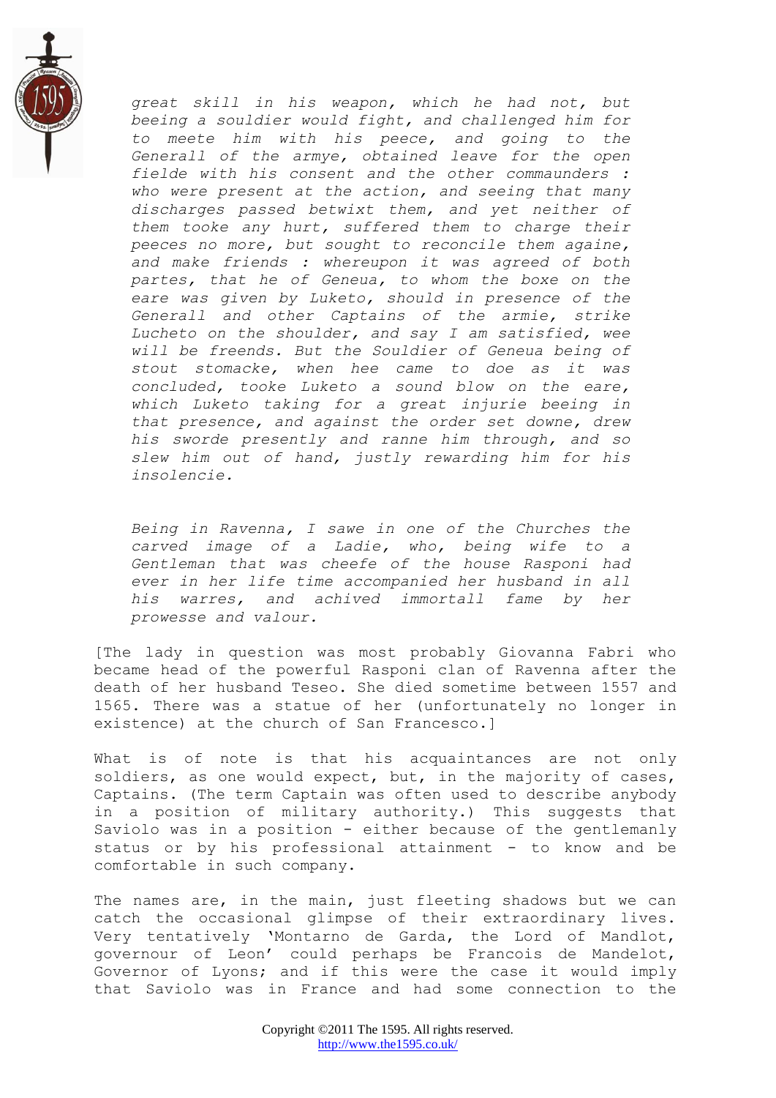

*great skill in his weapon, which he had not, but beeing a souldier would fight, and challenged him for to meete him with his peece, and going to the Generall of the armye, obtained leave for the open fielde with his consent and the other commaunders : who were present at the action, and seeing that many discharges passed betwixt them, and yet neither of them tooke any hurt, suffered them to charge their peeces no more, but sought to reconcile them againe, and make friends : whereupon it was agreed of both partes, that he of Geneua, to whom the boxe on the eare was given by Luketo, should in presence of the Generall and other Captains of the armie, strike Lucheto on the shoulder, and say I am satisfied, wee will be freends. But the Souldier of Geneua being of stout stomacke, when hee came to doe as it was concluded, tooke Luketo a sound blow on the eare, which Luketo taking for a great injurie beeing in that presence, and against the order set downe, drew his sworde presently and ranne him through, and so slew him out of hand, justly rewarding him for his insolencie.*

*Being in Ravenna, I sawe in one of the Churches the carved image of a Ladie, who, being wife to a Gentleman that was cheefe of the house Rasponi had ever in her life time accompanied her husband in all his warres, and achived immortall fame by her prowesse and valour.*

[The lady in question was most probably Giovanna Fabri who became head of the powerful Rasponi clan of Ravenna after the death of her husband Teseo. She died sometime between 1557 and 1565. There was a statue of her (unfortunately no longer in existence) at the church of San Francesco.]

What is of note is that his acquaintances are not only soldiers, as one would expect, but, in the majority of cases, Captains. (The term Captain was often used to describe anybody in a position of military authority.) This suggests that Saviolo was in a position - either because of the gentlemanly status or by his professional attainment - to know and be comfortable in such company.

The names are, in the main, just fleeting shadows but we can catch the occasional glimpse of their extraordinary lives. Very tentatively "Montarno de Garda, the Lord of Mandlot, governour of Leon" could perhaps be Francois de Mandelot, Governor of Lyons; and if this were the case it would imply that Saviolo was in France and had some connection to the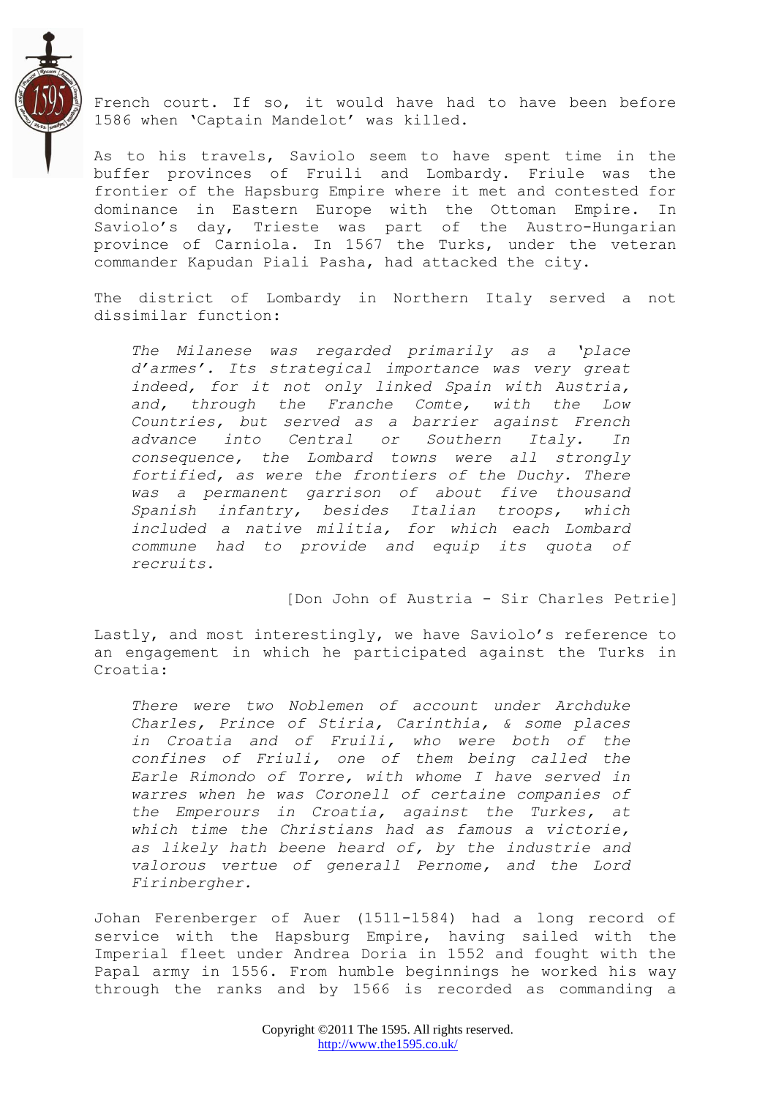

French court. If so, it would have had to have been before 1586 when "Captain Mandelot" was killed.

As to his travels, Saviolo seem to have spent time in the buffer provinces of Fruili and Lombardy. Friule was the frontier of the Hapsburg Empire where it met and contested for dominance in Eastern Europe with the Ottoman Empire. In Saviolo"s day, Trieste was part of the Austro-Hungarian province of Carniola. In 1567 the Turks, under the veteran commander Kapudan Piali Pasha, had attacked the city.

The district of Lombardy in Northern Italy served a not dissimilar function:

*The Milanese was regarded primarily as a "place d"armes". Its strategical importance was very great indeed, for it not only linked Spain with Austria, and, through the Franche Comte, with the Low Countries, but served as a barrier against French advance into Central or Southern Italy. In consequence, the Lombard towns were all strongly fortified, as were the frontiers of the Duchy. There was a permanent garrison of about five thousand Spanish infantry, besides Italian troops, which included a native militia, for which each Lombard commune had to provide and equip its quota of recruits.*

[Don John of Austria - Sir Charles Petrie]

Lastly, and most interestingly, we have Saviolo's reference to an engagement in which he participated against the Turks in Croatia:

*There were two Noblemen of account under Archduke Charles, Prince of Stiria, Carinthia, & some places in Croatia and of Fruili, who were both of the confines of Friuli, one of them being called the Earle Rimondo of Torre, with whome I have served in warres when he was Coronell of certaine companies of the Emperours in Croatia, against the Turkes, at which time the Christians had as famous a victorie, as likely hath beene heard of, by the industrie and valorous vertue of generall Pernome, and the Lord Firinbergher.*

Johan Ferenberger of Auer (1511-1584) had a long record of service with the Hapsburg Empire, having sailed with the Imperial fleet under Andrea Doria in 1552 and fought with the Papal army in 1556. From humble beginnings he worked his way through the ranks and by 1566 is recorded as commanding a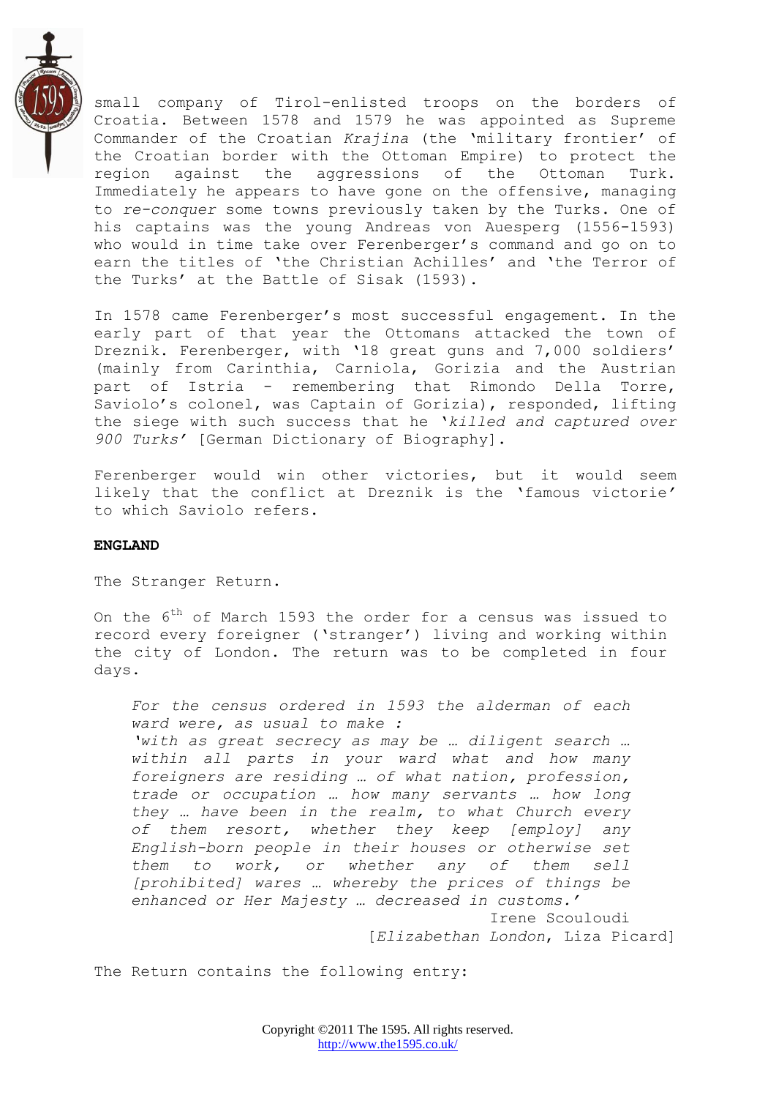

small company of Tirol-enlisted troops on the borders of Croatia. Between 1578 and 1579 he was appointed as Supreme Commander of the Croatian *Krajina* (the "military frontier" of the Croatian border with the Ottoman Empire) to protect the region against the aggressions of the Ottoman Turk. Immediately he appears to have gone on the offensive, managing to *re-conquer* some towns previously taken by the Turks. One of his captains was the young Andreas von Auesperg (1556-1593) who would in time take over Ferenberger's command and go on to earn the titles of 'the Christian Achilles' and 'the Terror of the Turks' at the Battle of Sisak (1593).

In 1578 came Ferenberger"s most successful engagement. In the early part of that year the Ottomans attacked the town of Dreznik. Ferenberger, with '18 great guns and 7,000 soldiers' (mainly from Carinthia, Carniola, Gorizia and the Austrian part of Istria - remembering that Rimondo Della Torre, Saviolo"s colonel, was Captain of Gorizia), responded, lifting the siege with such success that he "*killed and captured over 900 Turks"* [German Dictionary of Biography].

Ferenberger would win other victories, but it would seem likely that the conflict at Dreznik is the "famous victorie*"* to which Saviolo refers.

#### **ENGLAND**

The Stranger Return.

On the  $6<sup>th</sup>$  of March 1593 the order for a census was issued to record every foreigner ('stranger') living and working within the city of London. The return was to be completed in four days.

*For the census ordered in 1593 the alderman of each ward were, as usual to make : "with as great secrecy as may be … diligent search … within all parts in your ward what and how many foreigners are residing … of what nation, profession, trade or occupation … how many servants … how long they … have been in the realm, to what Church every of them resort, whether they keep [employ] any English-born people in their houses or otherwise set them to work, or whether any of them sell [prohibited] wares … whereby the prices of things be enhanced or Her Majesty … decreased in customs."*  Irene Scouloudi

[*Elizabethan London*, Liza Picard]

The Return contains the following entry: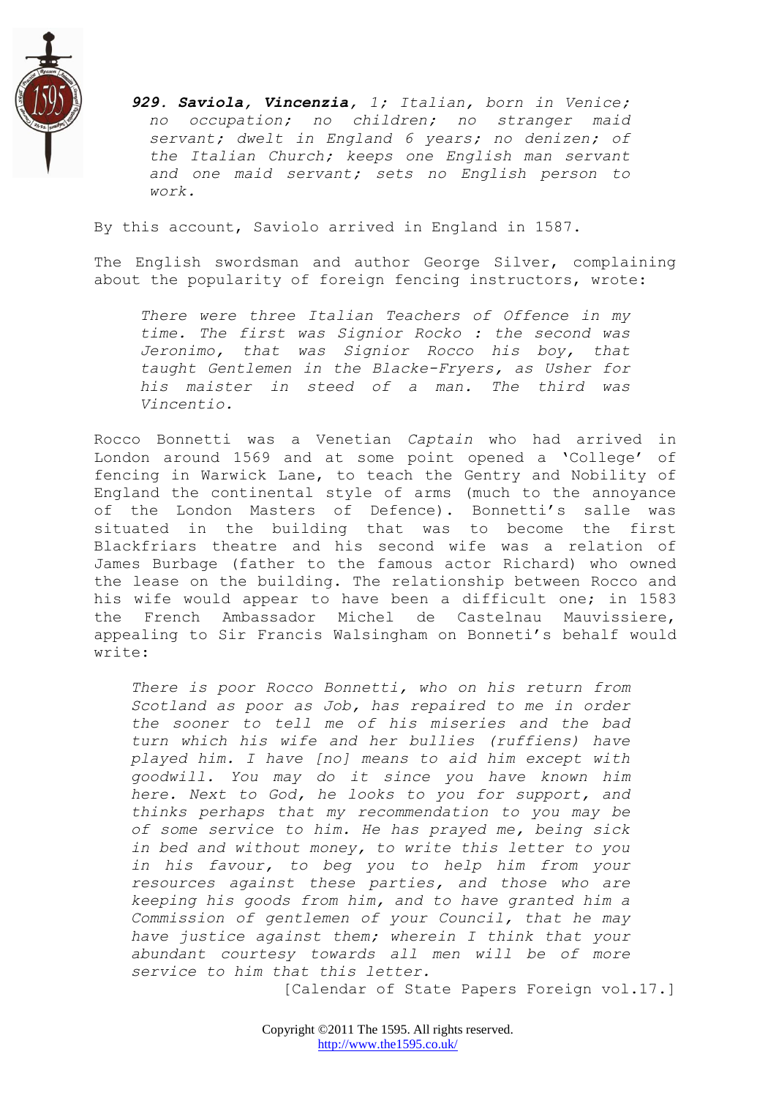

*929. Saviola, Vincenzia, 1; Italian, born in Venice; no occupation; no children; no stranger maid servant; dwelt in England 6 years; no denizen; of the Italian Church; keeps one English man servant and one maid servant; sets no English person to work.*

By this account, Saviolo arrived in England in 1587.

The English swordsman and author George Silver, complaining about the popularity of foreign fencing instructors, wrote:

*There were three Italian Teachers of Offence in my time. The first was Signior Rocko : the second was Jeronimo, that was Signior Rocco his boy, that taught Gentlemen in the Blacke-Fryers, as Usher for his maister in steed of a man. The third was Vincentio.*

Rocco Bonnetti was a Venetian *Captain* who had arrived in London around 1569 and at some point opened a "College" of fencing in Warwick Lane, to teach the Gentry and Nobility of England the continental style of arms (much to the annoyance of the London Masters of Defence). Bonnetti's salle was situated in the building that was to become the first Blackfriars theatre and his second wife was a relation of James Burbage (father to the famous actor Richard) who owned the lease on the building. The relationship between Rocco and his wife would appear to have been a difficult one; in 1583 the French Ambassador Michel de Castelnau Mauvissiere, appealing to Sir Francis Walsingham on Bonneti's behalf would write:

*There is poor Rocco Bonnetti, who on his return from Scotland as poor as Job, has repaired to me in order the sooner to tell me of his miseries and the bad turn which his wife and her bullies (ruffiens) have played him. I have [no] means to aid him except with goodwill. You may do it since you have known him here. Next to God, he looks to you for support, and thinks perhaps that my recommendation to you may be of some service to him. He has prayed me, being sick in bed and without money, to write this letter to you in his favour, to beg you to help him from your resources against these parties, and those who are keeping his goods from him, and to have granted him a Commission of gentlemen of your Council, that he may have justice against them; wherein I think that your abundant courtesy towards all men will be of more service to him that this letter.*

[Calendar of State Papers Foreign vol.17.]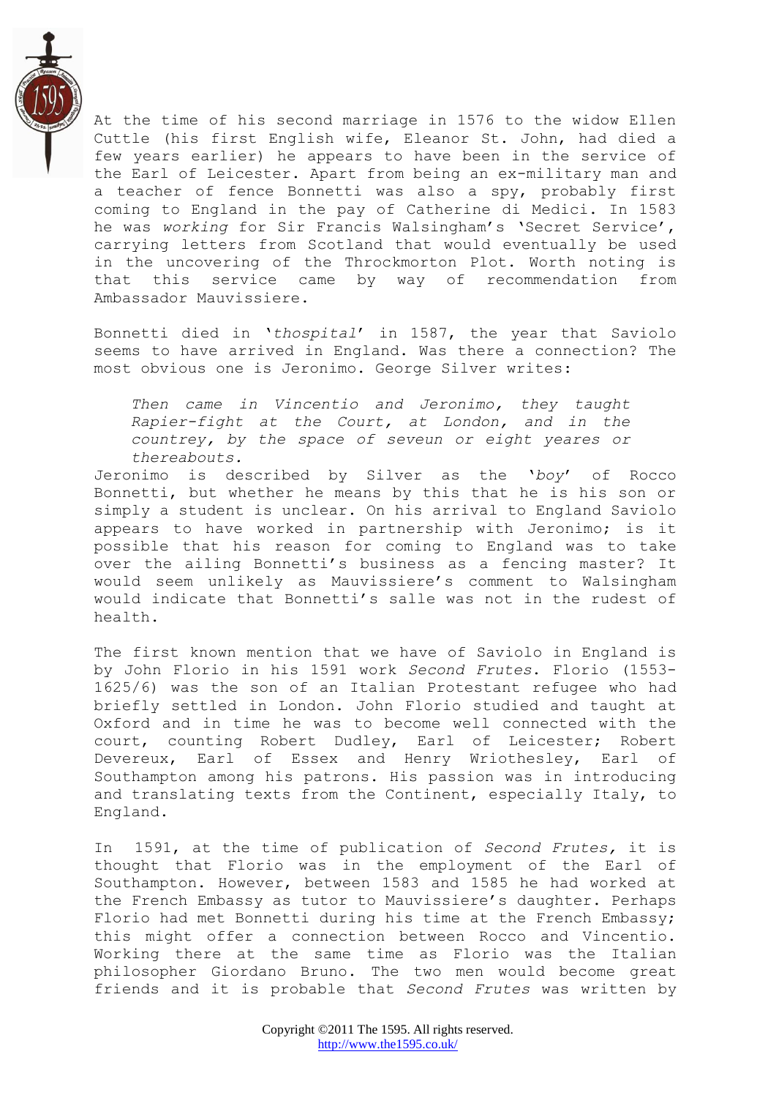

At the time of his second marriage in 1576 to the widow Ellen Cuttle (his first English wife, Eleanor St. John, had died a few years earlier) he appears to have been in the service of the Earl of Leicester. Apart from being an ex-military man and a teacher of fence Bonnetti was also a spy, probably first coming to England in the pay of Catherine di Medici. In 1583 he was *working* for Sir Francis Walsingham"s "Secret Service", carrying letters from Scotland that would eventually be used in the uncovering of the Throckmorton Plot. Worth noting is that this service came by way of recommendation from Ambassador Mauvissiere.

Bonnetti died in "*thospital*" in 1587, the year that Saviolo seems to have arrived in England. Was there a connection? The most obvious one is Jeronimo. George Silver writes:

*Then came in Vincentio and Jeronimo, they taught Rapier-fight at the Court, at London, and in the countrey, by the space of seveun or eight yeares or thereabouts.*

Jeronimo is described by Silver as the "*boy*" of Rocco Bonnetti, but whether he means by this that he is his son or simply a student is unclear. On his arrival to England Saviolo appears to have worked in partnership with Jeronimo; is it possible that his reason for coming to England was to take over the ailing Bonnetti's business as a fencing master? It would seem unlikely as Mauvissiere"s comment to Walsingham would indicate that Bonnetti's salle was not in the rudest of health.

The first known mention that we have of Saviolo in England is by John Florio in his 1591 work *Second Frutes*. Florio (1553- 1625/6) was the son of an Italian Protestant refugee who had briefly settled in London. John Florio studied and taught at Oxford and in time he was to become well connected with the court, counting Robert Dudley, Earl of Leicester; Robert Devereux, Earl of Essex and Henry Wriothesley, Earl of Southampton among his patrons. His passion was in introducing and translating texts from the Continent, especially Italy, to England.

In 1591, at the time of publication of *Second Frutes,* it is thought that Florio was in the employment of the Earl of Southampton. However, between 1583 and 1585 he had worked at the French Embassy as tutor to Mauvissiere's daughter. Perhaps Florio had met Bonnetti during his time at the French Embassy; this might offer a connection between Rocco and Vincentio. Working there at the same time as Florio was the Italian philosopher Giordano Bruno. The two men would become great friends and it is probable that *Second Frutes* was written by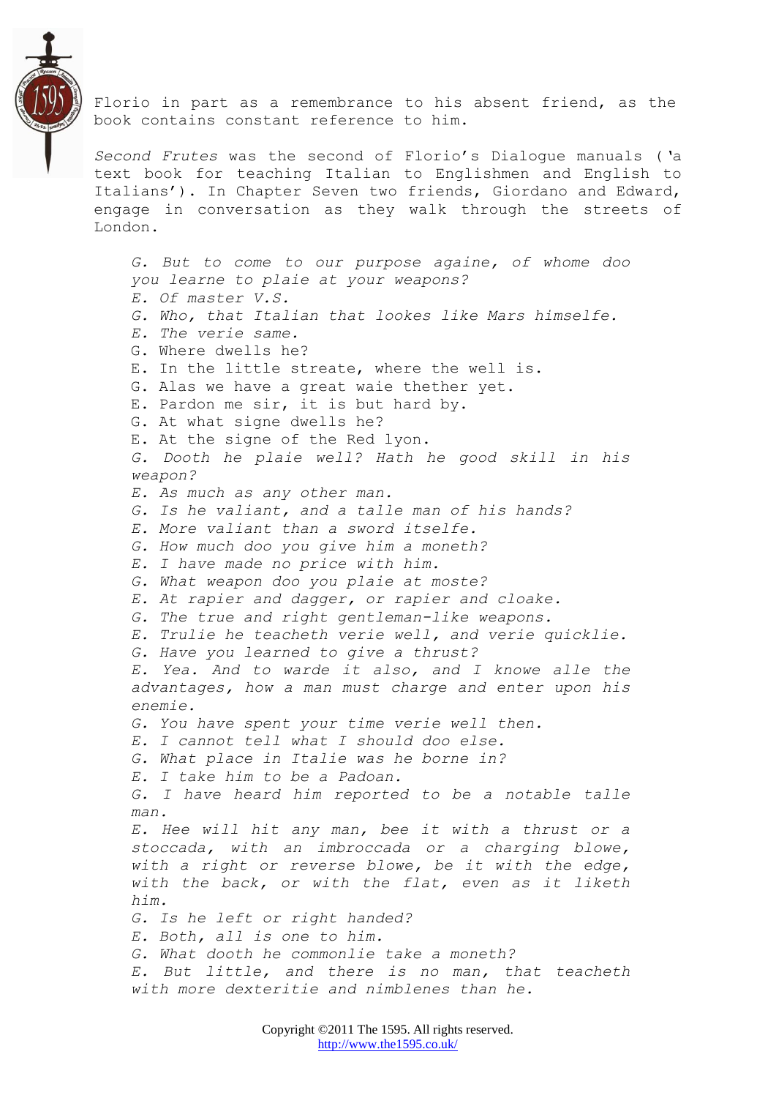

Florio in part as a remembrance to his absent friend, as the book contains constant reference to him.

*Second Frutes* was the second of Florio"s Dialogue manuals (*"*a text book for teaching Italian to Englishmen and English to Italians'). In Chapter Seven two friends, Giordano and Edward, engage in conversation as they walk through the streets of London.

*G. But to come to our purpose againe, of whome doo you learne to plaie at your weapons? E. Of master V.S. G. Who, that Italian that lookes like Mars himselfe. E. The verie same.* G. Where dwells he? E. In the little streate, where the well is. G. Alas we have a great waie thether yet. E. Pardon me sir, it is but hard by. G. At what signe dwells he? E. At the signe of the Red lyon. *G. Dooth he plaie well? Hath he good skill in his weapon? E. As much as any other man. G. Is he valiant, and a talle man of his hands? E. More valiant than a sword itselfe. G. How much doo you give him a moneth? E. I have made no price with him. G. What weapon doo you plaie at moste? E. At rapier and dagger, or rapier and cloake. G. The true and right gentleman-like weapons. E. Trulie he teacheth verie well, and verie quicklie. G. Have you learned to give a thrust? E. Yea. And to warde it also, and I knowe alle the advantages, how a man must charge and enter upon his enemie. G. You have spent your time verie well then. E. I cannot tell what I should doo else. G. What place in Italie was he borne in? E. I take him to be a Padoan. G. I have heard him reported to be a notable talle man. E. Hee will hit any man, bee it with a thrust or a stoccada, with an imbroccada or a charging blowe, with a right or reverse blowe, be it with the edge, with the back, or with the flat, even as it liketh him. G. Is he left or right handed? E. Both, all is one to him. G. What dooth he commonlie take a moneth? E. But little, and there is no man, that teacheth with more dexteritie and nimblenes than he.*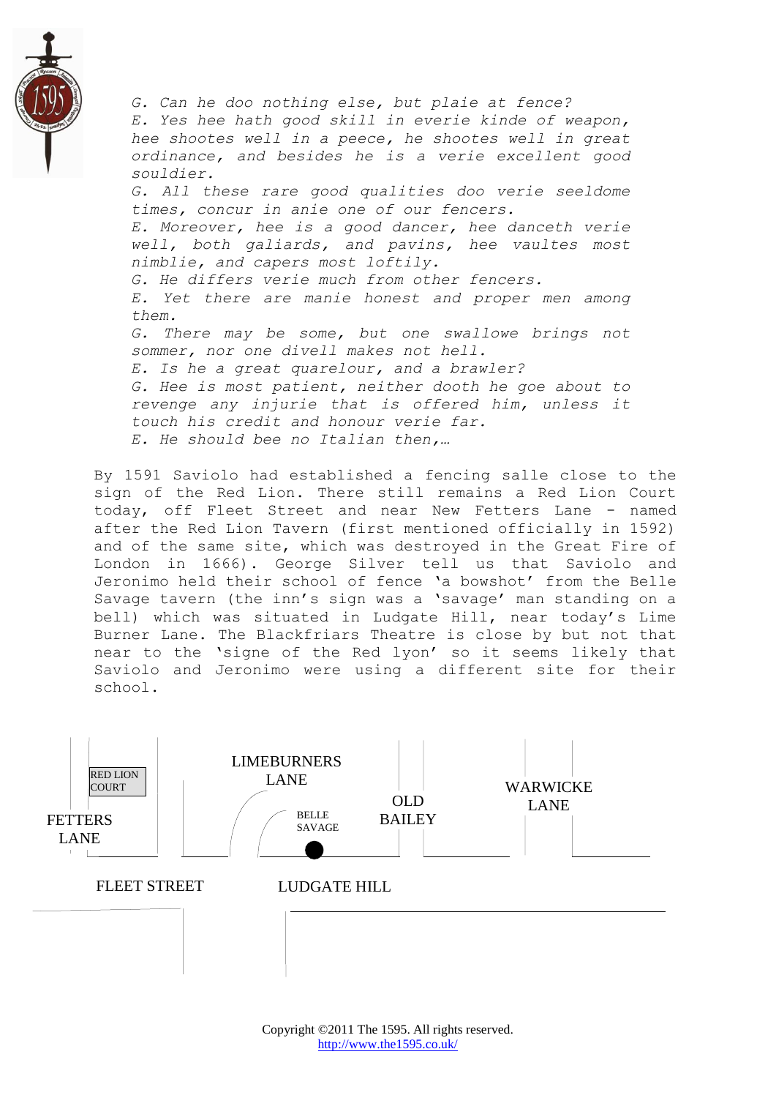

*G. Can he doo nothing else, but plaie at fence? E. Yes hee hath good skill in everie kinde of weapon, hee shootes well in a peece, he shootes well in great ordinance, and besides he is a verie excellent good souldier. G. All these rare good qualities doo verie seeldome times, concur in anie one of our fencers. E. Moreover, hee is a good dancer, hee danceth verie well, both galiards, and pavins, hee vaultes most nimblie, and capers most loftily. G. He differs verie much from other fencers. E. Yet there are manie honest and proper men among them. G. There may be some, but one swallowe brings not sommer, nor one divell makes not hell. E. Is he a great quarelour, and a brawler? G. Hee is most patient, neither dooth he goe about to revenge any injurie that is offered him, unless it touch his credit and honour verie far. E. He should bee no Italian then,…*

By 1591 Saviolo had established a fencing salle close to the sign of the Red Lion. There still remains a Red Lion Court today, off Fleet Street and near New Fetters Lane - named after the Red Lion Tavern (first mentioned officially in 1592) and of the same site, which was destroyed in the Great Fire of London in 1666). George Silver tell us that Saviolo and Jeronimo held their school of fence 'a bowshot' from the Belle Savage tavern (the inn"s sign was a "savage" man standing on a bell) which was situated in Ludgate Hill, near today"s Lime Burner Lane. The Blackfriars Theatre is close by but not that near to the "signe of the Red lyon" so it seems likely that Saviolo and Jeronimo were using a different site for their school.

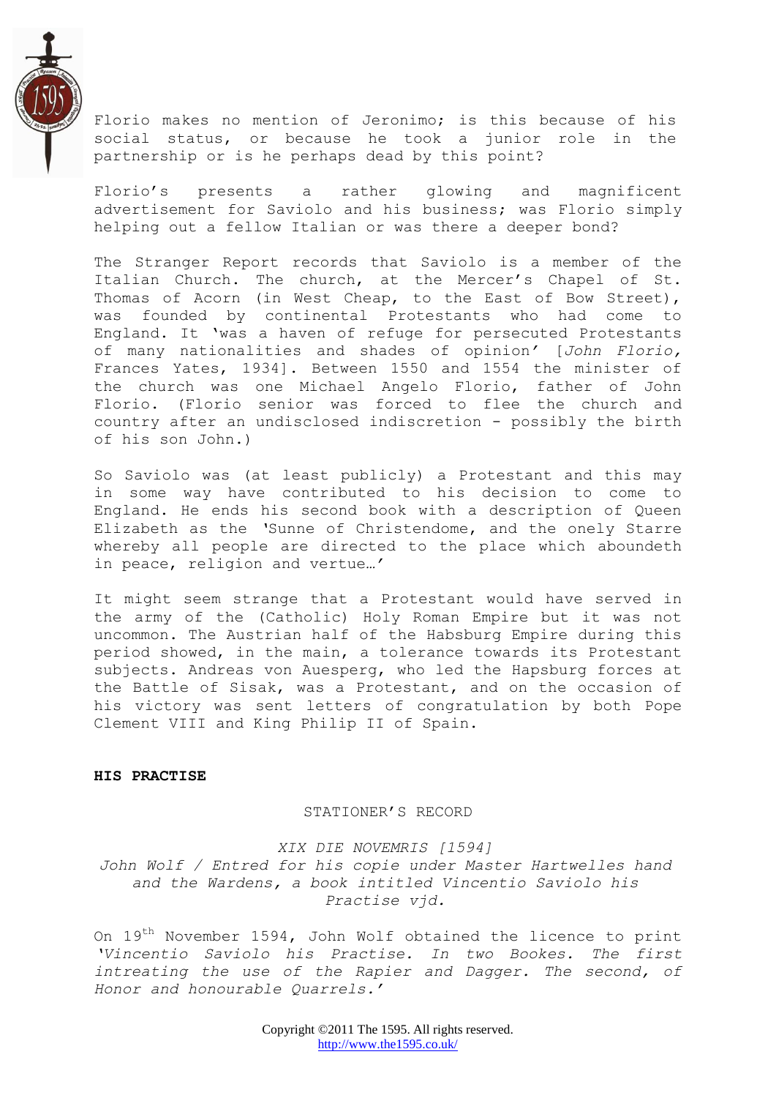

Florio makes no mention of Jeronimo; is this because of his social status, or because he took a junior role in the partnership or is he perhaps dead by this point?

Florio"s presents a rather glowing and magnificent advertisement for Saviolo and his business; was Florio simply helping out a fellow Italian or was there a deeper bond?

The Stranger Report records that Saviolo is a member of the Italian Church. The church, at the Mercer's Chapel of St. Thomas of Acorn (in West Cheap, to the East of Bow Street), was founded by continental Protestants who had come to England. It 'was a haven of refuge for persecuted Protestants of many nationalities and shades of opinion*"* [*John Florio,* Frances Yates, 1934]. Between 1550 and 1554 the minister of the church was one Michael Angelo Florio, father of John Florio. (Florio senior was forced to flee the church and country after an undisclosed indiscretion - possibly the birth of his son John.)

So Saviolo was (at least publicly) a Protestant and this may in some way have contributed to his decision to come to England. He ends his second book with a description of Queen Elizabeth as the *"*Sunne of Christendome, and the onely Starre whereby all people are directed to the place which aboundeth in peace, religion and vertue*…"*

It might seem strange that a Protestant would have served in the army of the (Catholic) Holy Roman Empire but it was not uncommon. The Austrian half of the Habsburg Empire during this period showed, in the main, a tolerance towards its Protestant subjects. Andreas von Auesperg, who led the Hapsburg forces at the Battle of Sisak, was a Protestant, and on the occasion of his victory was sent letters of congratulation by both Pope Clement VIII and King Philip II of Spain.

#### **HIS PRACTISE**

#### STATIONER"S RECORD

*XIX DIE NOVEMRIS [1594]*

*John Wolf / Entred for his copie under Master Hartwelles hand and the Wardens, a book intitled Vincentio Saviolo his Practise vjd.*

On  $19<sup>th</sup>$  November 1594, John Wolf obtained the licence to print *"Vincentio Saviolo his Practise. In two Bookes. The first intreating the use of the Rapier and Dagger. The second, of Honor and honourable Quarrels."*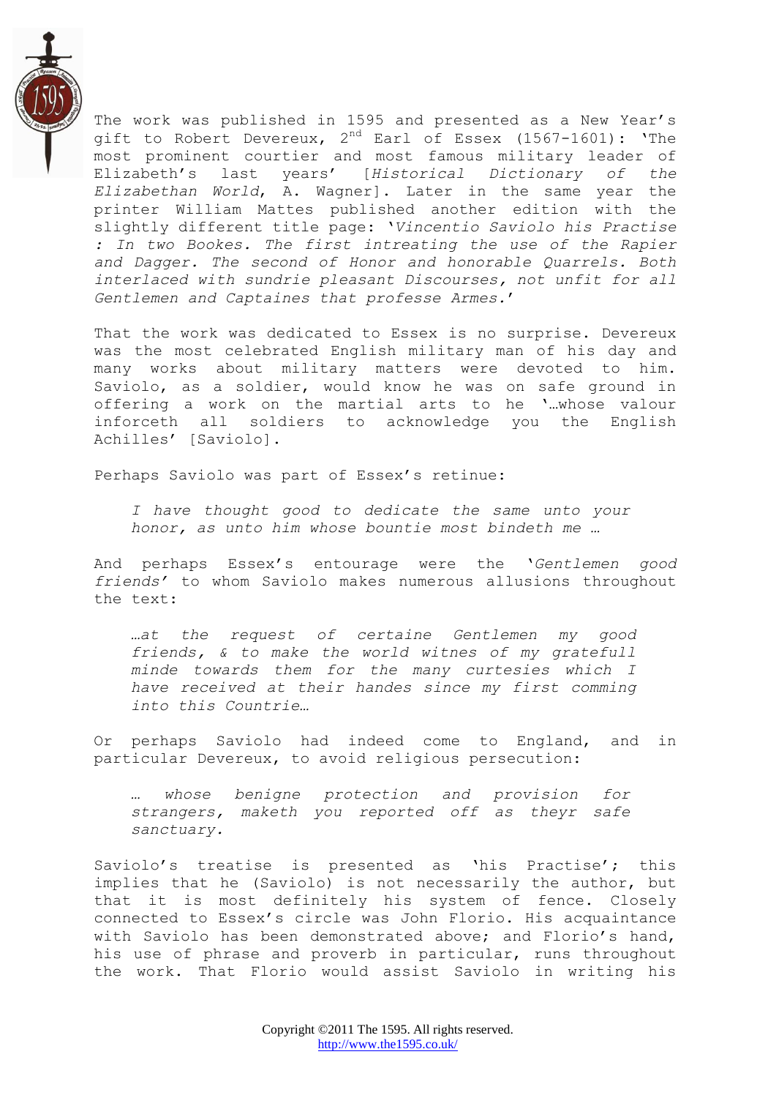

The work was published in 1595 and presented as a New Year's gift to Robert Devereux,  $2^{nd}$  Earl of Essex (1567-1601): 'The most prominent courtier and most famous military leader of Elizabeth"s last years" [*Historical Dictionary of the Elizabethan World*, A. Wagner]. Later in the same year the printer William Mattes published another edition with the slightly different title page: "*Vincentio Saviolo his Practise : In two Bookes. The first intreating the use of the Rapier and Dagger. The second of Honor and honorable Quarrels. Both interlaced with sundrie pleasant Discourses, not unfit for all Gentlemen and Captaines that professe Armes.*"

That the work was dedicated to Essex is no surprise. Devereux was the most celebrated English military man of his day and many works about military matters were devoted to him. Saviolo, as a soldier, would know he was on safe ground in offering a work on the martial arts to he "…whose valour inforceth all soldiers to acknowledge you the English Achilles" [Saviolo].

Perhaps Saviolo was part of Essex's retinue:

*I have thought good to dedicate the same unto your honor, as unto him whose bountie most bindeth me …*

And perhaps Essex"s entourage were the "*Gentlemen good friends"* to whom Saviolo makes numerous allusions throughout the text:

*…at the request of certaine Gentlemen my good friends, & to make the world witnes of my gratefull minde towards them for the many curtesies which I have received at their handes since my first comming into this Countrie…*

Or perhaps Saviolo had indeed come to England, and in particular Devereux, to avoid religious persecution:

*… whose benigne protection and provision for strangers, maketh you reported off as theyr safe sanctuary.*

Saviolo's treatise is presented as 'his Practise'; this implies that he (Saviolo) is not necessarily the author, but that it is most definitely his system of fence. Closely connected to Essex"s circle was John Florio. His acquaintance with Saviolo has been demonstrated above; and Florio's hand, his use of phrase and proverb in particular, runs throughout the work. That Florio would assist Saviolo in writing his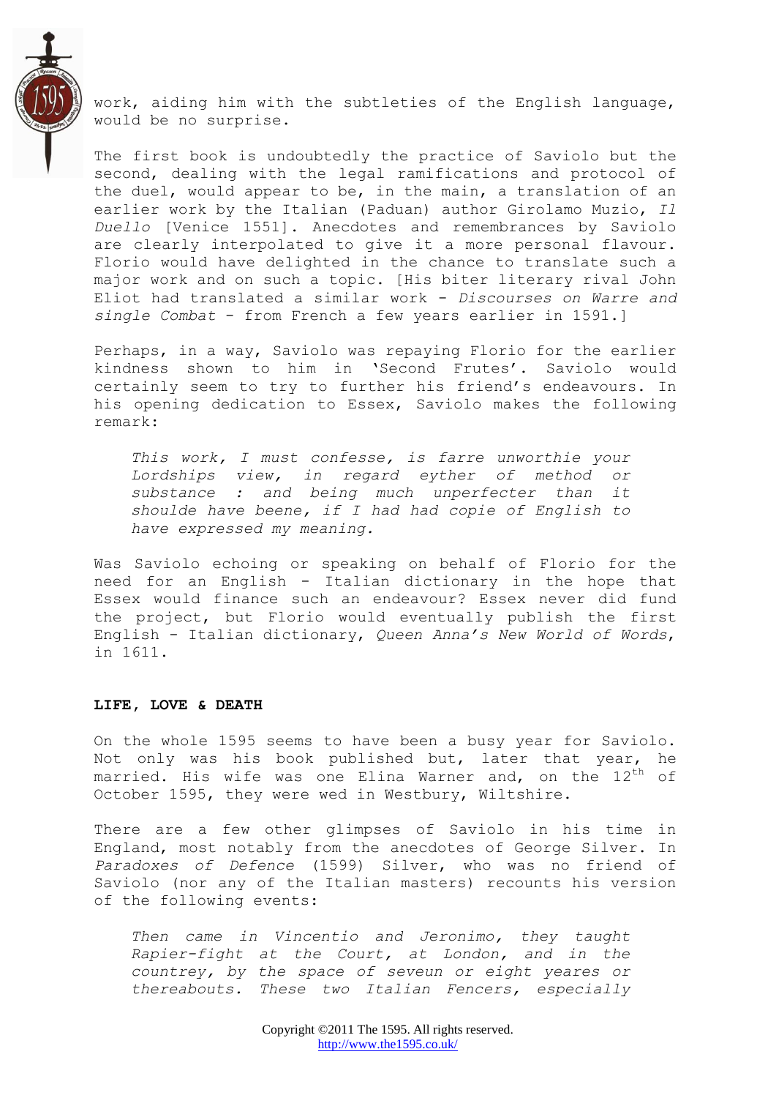

work, aiding him with the subtleties of the English language, would be no surprise.

The first book is undoubtedly the practice of Saviolo but the second, dealing with the legal ramifications and protocol of the duel, would appear to be, in the main, a translation of an earlier work by the Italian (Paduan) author Girolamo Muzio, *Il Duello* [Venice 1551]. Anecdotes and remembrances by Saviolo are clearly interpolated to give it a more personal flavour. Florio would have delighted in the chance to translate such a major work and on such a topic. [His biter literary rival John Eliot had translated a similar work - *Discourses on Warre and single Combat* - from French a few years earlier in 1591.]

Perhaps, in a way, Saviolo was repaying Florio for the earlier kindness shown to him in "Second Frutes". Saviolo would certainly seem to try to further his friend"s endeavours. In his opening dedication to Essex, Saviolo makes the following remark:

*This work, I must confesse, is farre unworthie your Lordships view, in regard eyther of method or substance : and being much unperfecter than it shoulde have beene, if I had had copie of English to have expressed my meaning.*

Was Saviolo echoing or speaking on behalf of Florio for the need for an English - Italian dictionary in the hope that Essex would finance such an endeavour? Essex never did fund the project, but Florio would eventually publish the first English - Italian dictionary, *Queen Anna"s New World of Words*, in 1611.

## **LIFE, LOVE & DEATH**

On the whole 1595 seems to have been a busy year for Saviolo. Not only was his book published but, later that year, he married. His wife was one Elina Warner and, on the  $12^{\rm th}$  of October 1595, they were wed in Westbury, Wiltshire.

There are a few other glimpses of Saviolo in his time in England, most notably from the anecdotes of George Silver. In *Paradoxes of Defence* (1599) Silver, who was no friend of Saviolo (nor any of the Italian masters) recounts his version of the following events:

*Then came in Vincentio and Jeronimo, they taught Rapier-fight at the Court, at London, and in the countrey, by the space of seveun or eight yeares or thereabouts. These two Italian Fencers, especially*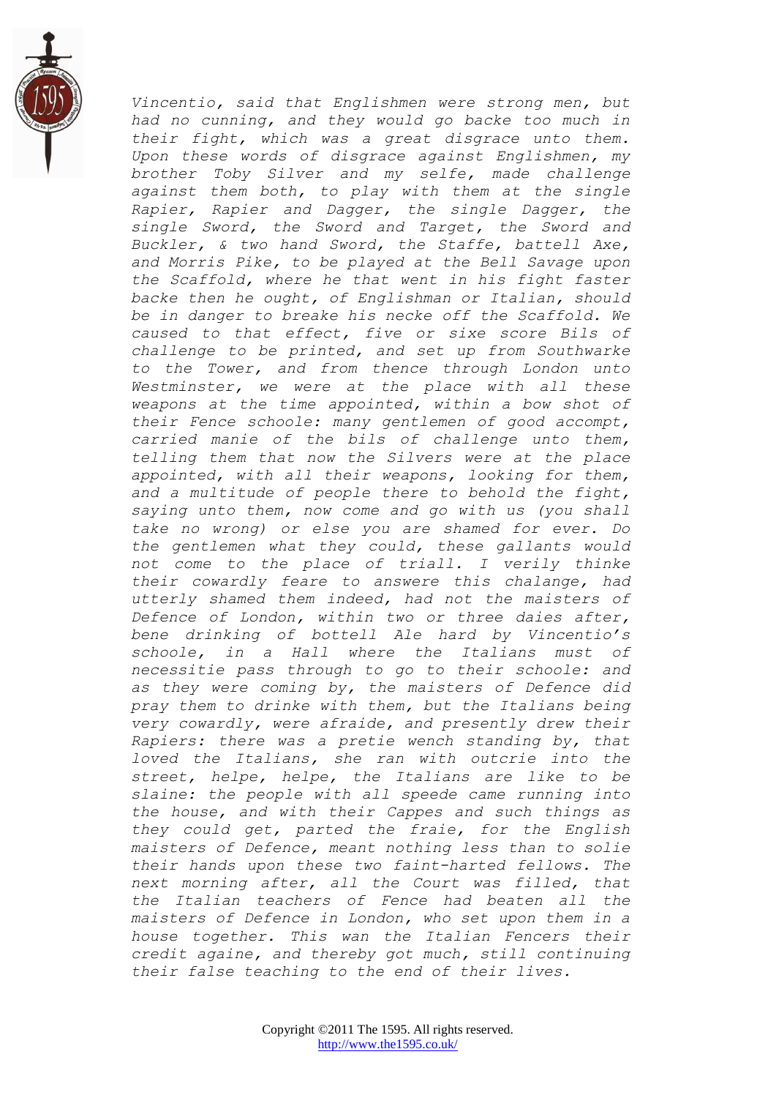

*Vincentio, said that Englishmen were strong men, but had no cunning, and they would go backe too much in their fight, which was a great disgrace unto them. Upon these words of disgrace against Englishmen, my brother Toby Silver and my selfe, made challenge against them both, to play with them at the single Rapier, Rapier and Dagger, the single Dagger, the single Sword, the Sword and Target, the Sword and Buckler, & two hand Sword, the Staffe, battell Axe, and Morris Pike, to be played at the Bell Savage upon the Scaffold, where he that went in his fight faster backe then he ought, of Englishman or Italian, should be in danger to breake his necke off the Scaffold. We caused to that effect, five or sixe score Bils of challenge to be printed, and set up from Southwarke to the Tower, and from thence through London unto Westminster, we were at the place with all these weapons at the time appointed, within a bow shot of their Fence schoole: many gentlemen of good accompt, carried manie of the bils of challenge unto them, telling them that now the Silvers were at the place appointed, with all their weapons, looking for them, and a multitude of people there to behold the fight, saying unto them, now come and go with us (you shall take no wrong) or else you are shamed for ever. Do the gentlemen what they could, these gallants would not come to the place of triall. I verily thinke their cowardly feare to answere this chalange, had utterly shamed them indeed, had not the maisters of Defence of London, within two or three daies after, bene drinking of bottell Ale hard by Vincentio"s schoole, in a Hall where the Italians must of necessitie pass through to go to their schoole: and as they were coming by, the maisters of Defence did pray them to drinke with them, but the Italians being very cowardly, were afraide, and presently drew their Rapiers: there was a pretie wench standing by, that loved the Italians, she ran with outcrie into the street, helpe, helpe, the Italians are like to be slaine: the people with all speede came running into the house, and with their Cappes and such things as they could get, parted the fraie, for the English maisters of Defence, meant nothing less than to solie their hands upon these two faint-harted fellows. The next morning after, all the Court was filled, that the Italian teachers of Fence had beaten all the maisters of Defence in London, who set upon them in a house together. This wan the Italian Fencers their credit againe, and thereby got much, still continuing their false teaching to the end of their lives.*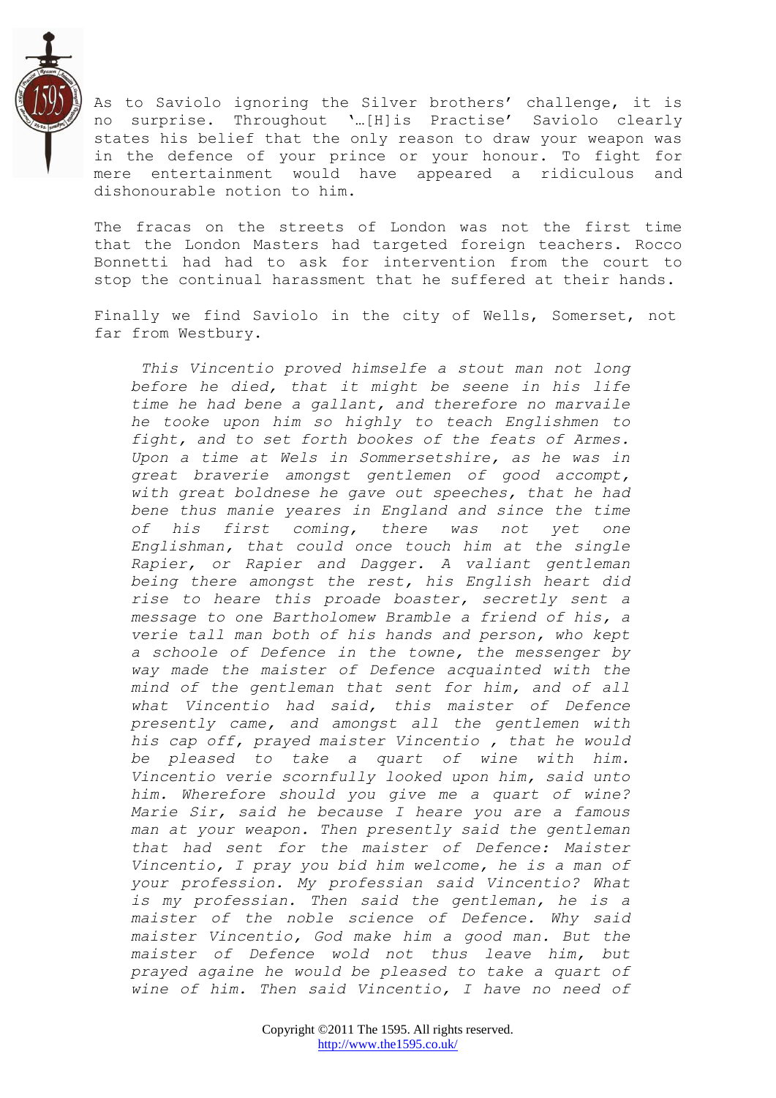

As to Saviolo ignoring the Silver brothers' challenge, it is no surprise. Throughout "…[H]is Practise" Saviolo clearly states his belief that the only reason to draw your weapon was in the defence of your prince or your honour. To fight for mere entertainment would have appeared a ridiculous and dishonourable notion to him.

The fracas on the streets of London was not the first time that the London Masters had targeted foreign teachers. Rocco Bonnetti had had to ask for intervention from the court to stop the continual harassment that he suffered at their hands.

Finally we find Saviolo in the city of Wells, Somerset, not far from Westbury.

*This Vincentio proved himselfe a stout man not long before he died, that it might be seene in his life time he had bene a gallant, and therefore no marvaile he tooke upon him so highly to teach Englishmen to fight, and to set forth bookes of the feats of Armes. Upon a time at Wels in Sommersetshire, as he was in great braverie amongst gentlemen of good accompt, with great boldnese he gave out speeches, that he had bene thus manie yeares in England and since the time of his first coming, there was not yet one Englishman, that could once touch him at the single Rapier, or Rapier and Dagger. A valiant gentleman being there amongst the rest, his English heart did rise to heare this proade boaster, secretly sent a message to one Bartholomew Bramble a friend of his, a verie tall man both of his hands and person, who kept a schoole of Defence in the towne, the messenger by way made the maister of Defence acquainted with the mind of the gentleman that sent for him, and of all what Vincentio had said, this maister of Defence presently came, and amongst all the gentlemen with his cap off, prayed maister Vincentio , that he would be pleased to take a quart of wine with him. Vincentio verie scornfully looked upon him, said unto him. Wherefore should you give me a quart of wine? Marie Sir, said he because I heare you are a famous man at your weapon. Then presently said the gentleman that had sent for the maister of Defence: Maister Vincentio, I pray you bid him welcome, he is a man of your profession. My professian said Vincentio? What is my professian. Then said the gentleman, he is a maister of the noble science of Defence. Why said maister Vincentio, God make him a good man. But the maister of Defence wold not thus leave him, but prayed againe he would be pleased to take a quart of wine of him. Then said Vincentio, I have no need of*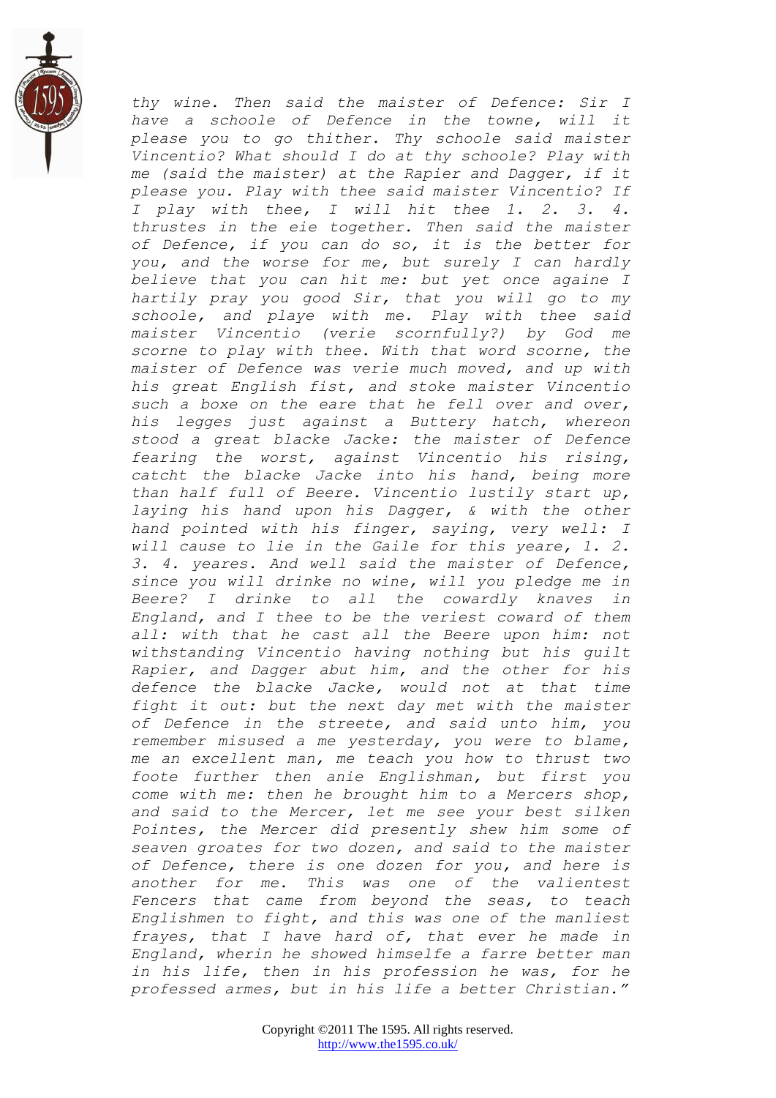

*thy wine. Then said the maister of Defence: Sir I have a schoole of Defence in the towne, will it please you to go thither. Thy schoole said maister Vincentio? What should I do at thy schoole? Play with me (said the maister) at the Rapier and Dagger, if it please you. Play with thee said maister Vincentio? If I play with thee, I will hit thee 1. 2. 3. 4. thrustes in the eie together. Then said the maister of Defence, if you can do so, it is the better for you, and the worse for me, but surely I can hardly believe that you can hit me: but yet once againe I hartily pray you good Sir, that you will go to my schoole, and playe with me. Play with thee said maister Vincentio (verie scornfully?) by God me scorne to play with thee. With that word scorne, the maister of Defence was verie much moved, and up with his great English fist, and stoke maister Vincentio such a boxe on the eare that he fell over and over, his legges just against a Buttery hatch, whereon stood a great blacke Jacke: the maister of Defence fearing the worst, against Vincentio his rising, catcht the blacke Jacke into his hand, being more than half full of Beere. Vincentio lustily start up, laying his hand upon his Dagger, & with the other hand pointed with his finger, saying, very well: I will cause to lie in the Gaile for this yeare, 1. 2. 3. 4. yeares. And well said the maister of Defence, since you will drinke no wine, will you pledge me in Beere? I drinke to all the cowardly knaves in England, and I thee to be the veriest coward of them all: with that he cast all the Beere upon him: not withstanding Vincentio having nothing but his guilt Rapier, and Dagger abut him, and the other for his defence the blacke Jacke, would not at that time fight it out: but the next day met with the maister of Defence in the streete, and said unto him, you remember misused a me yesterday, you were to blame, me an excellent man, me teach you how to thrust two foote further then anie Englishman, but first you come with me: then he brought him to a Mercers shop, and said to the Mercer, let me see your best silken Pointes, the Mercer did presently shew him some of seaven groates for two dozen, and said to the maister of Defence, there is one dozen for you, and here is another for me. This was one of the valientest Fencers that came from beyond the seas, to teach Englishmen to fight, and this was one of the manliest frayes, that I have hard of, that ever he made in England, wherin he showed himselfe a farre better man in his life, then in his profession he was, for he professed armes, but in his life a better Christian."*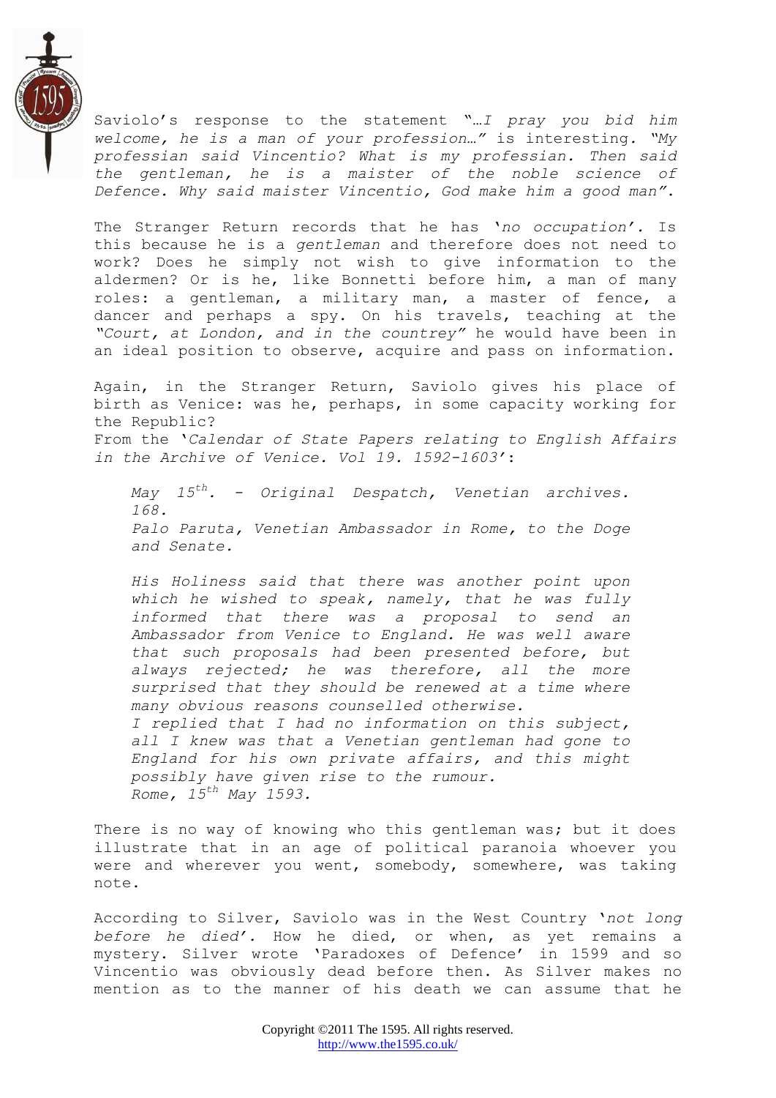

Saviolo"s response to the statement "…*I pray you bid him welcome, he is a man of your profession…"* is interesting*. "My professian said Vincentio? What is my professian. Then said the gentleman, he is a maister of the noble science of Defence. Why said maister Vincentio, God make him a good man"*.

The Stranger Return records that he has "*no occupation".* Is this because he is a *gentleman* and therefore does not need to work? Does he simply not wish to give information to the aldermen? Or is he, like Bonnetti before him, a man of many roles: a gentleman, a military man, a master of fence, a dancer and perhaps a spy. On his travels, teaching at the *"Court, at London, and in the countrey"* he would have been in an ideal position to observe, acquire and pass on information.

Again, in the Stranger Return, Saviolo gives his place of birth as Venice: was he, perhaps, in some capacity working for the Republic? From the "*Calendar of State Papers relating to English Affairs in the Archive of Venice. Vol 19. 1592-1603"*:

*May 15th. - Original Despatch, Venetian archives. 168. Palo Paruta, Venetian Ambassador in Rome, to the Doge and Senate.*

*His Holiness said that there was another point upon which he wished to speak, namely, that he was fully informed that there was a proposal to send an Ambassador from Venice to England. He was well aware that such proposals had been presented before, but always rejected; he was therefore, all the more surprised that they should be renewed at a time where many obvious reasons counselled otherwise. I replied that I had no information on this subject, all I knew was that a Venetian gentleman had gone to England for his own private affairs, and this might possibly have given rise to the rumour. Rome, 15th May 1593.*

There is no way of knowing who this gentleman was; but it does illustrate that in an age of political paranoia whoever you were and wherever you went, somebody, somewhere, was taking note.

According to Silver, Saviolo was in the West Country "*not long before he died".* How he died, or when, as yet remains a mystery. Silver wrote "Paradoxes of Defence" in 1599 and so Vincentio was obviously dead before then. As Silver makes no mention as to the manner of his death we can assume that he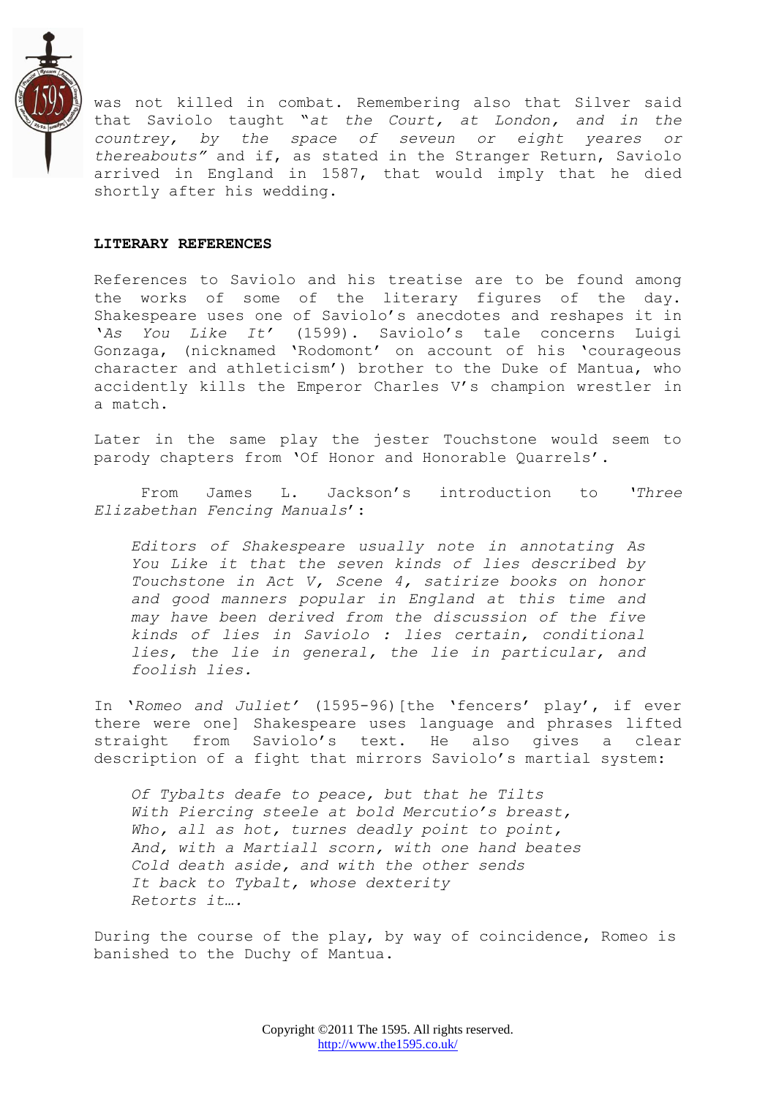

was not killed in combat. Remembering also that Silver said that Saviolo taught "*at the Court, at London, and in the countrey, by the space of seveun or eight yeares or thereabouts"* and if, as stated in the Stranger Return, Saviolo arrived in England in 1587, that would imply that he died shortly after his wedding.

#### **LITERARY REFERENCES**

References to Saviolo and his treatise are to be found among the works of some of the literary figures of the day. Shakespeare uses one of Saviolo"s anecdotes and reshapes it in "*As You Like It"* (1599). Saviolo"s tale concerns Luigi Gonzaga, (nicknamed "Rodomont" on account of his "courageous character and athleticism") brother to the Duke of Mantua, who accidently kills the Emperor Charles V"s champion wrestler in a match.

Later in the same play the jester Touchstone would seem to parody chapters from "Of Honor and Honorable Quarrels".

From James L. Jackson"s introduction to *"Three Elizabethan Fencing Manuals*":

*Editors of Shakespeare usually note in annotating As You Like it that the seven kinds of lies described by Touchstone in Act V, Scene 4, satirize books on honor and good manners popular in England at this time and may have been derived from the discussion of the five kinds of lies in Saviolo : lies certain, conditional lies, the lie in general, the lie in particular, and foolish lies.*

In "*Romeo and Juliet"* (1595-96)[the "fencers" play", if ever there were one] Shakespeare uses language and phrases lifted straight from Saviolo"s text. He also gives a clear description of a fight that mirrors Saviolo"s martial system:

*Of Tybalts deafe to peace, but that he Tilts With Piercing steele at bold Mercutio"s breast, Who, all as hot, turnes deadly point to point, And, with a Martiall scorn, with one hand beates Cold death aside, and with the other sends It back to Tybalt, whose dexterity Retorts it….*

During the course of the play, by way of coincidence, Romeo is banished to the Duchy of Mantua.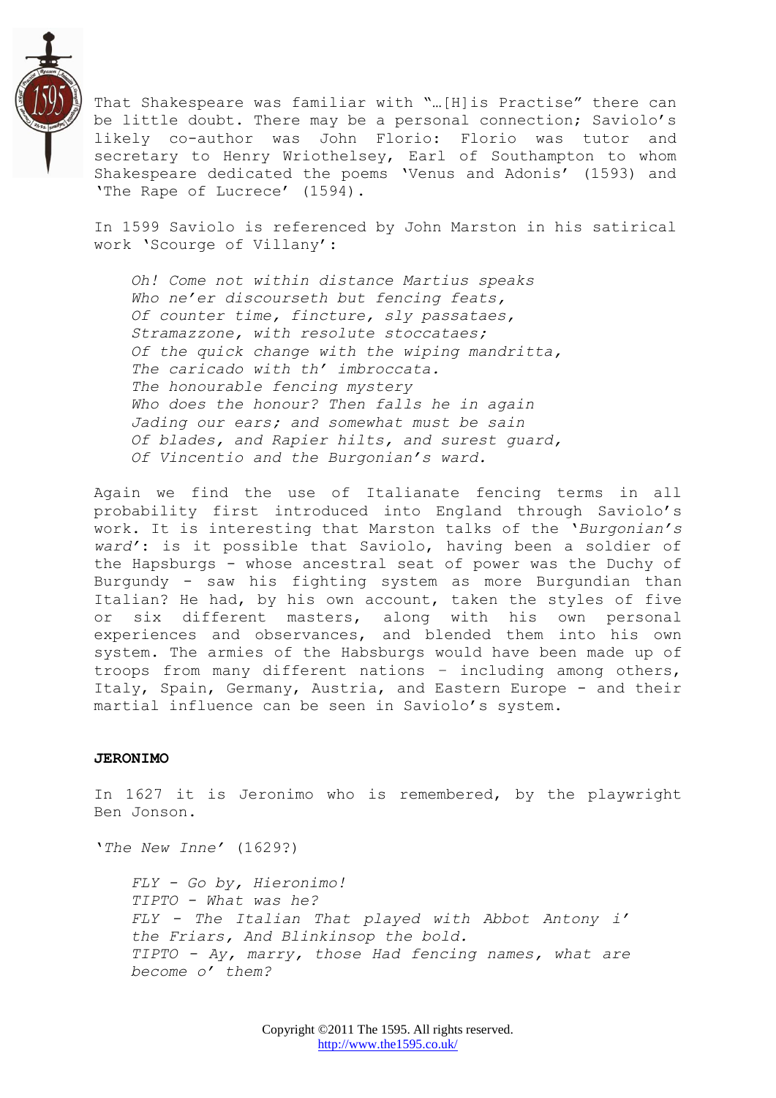

That Shakespeare was familiar with "…[H]is Practise" there can be little doubt. There may be a personal connection; Saviolo's likely co-author was John Florio: Florio was tutor and secretary to Henry Wriothelsey, Earl of Southampton to whom Shakespeare dedicated the poems "Venus and Adonis" (1593) and 'The Rape of Lucrece' (1594).

In 1599 Saviolo is referenced by John Marston in his satirical work "Scourge of Villany":

*Oh! Come not within distance Martius speaks Who ne"er discourseth but fencing feats, Of counter time, fincture, sly passataes, Stramazzone, with resolute stoccataes; Of the quick change with the wiping mandritta, The caricado with th" imbroccata. The honourable fencing mystery Who does the honour? Then falls he in again Jading our ears; and somewhat must be sain Of blades, and Rapier hilts, and surest guard, Of Vincentio and the Burgonian"s ward.*

Again we find the use of Italianate fencing terms in all probability first introduced into England through Saviolo"s work. It is interesting that Marston talks of the "*Burgonian"s ward"*: is it possible that Saviolo, having been a soldier of the Hapsburgs - whose ancestral seat of power was the Duchy of Burgundy - saw his fighting system as more Burgundian than Italian? He had, by his own account, taken the styles of five or six different masters, along with his own personal experiences and observances, and blended them into his own system. The armies of the Habsburgs would have been made up of troops from many different nations – including among others, Italy, Spain, Germany, Austria, and Eastern Europe - and their martial influence can be seen in Saviolo"s system.

#### **JERONIMO**

In 1627 it is Jeronimo who is remembered, by the playwright Ben Jonson.

"*The New Inne"* (1629?)

*FLY - Go by, Hieronimo! TIPTO - What was he? FLY - The Italian That played with Abbot Antony i" the Friars, And Blinkinsop the bold. TIPTO - Ay, marry, those Had fencing names, what are become o" them?*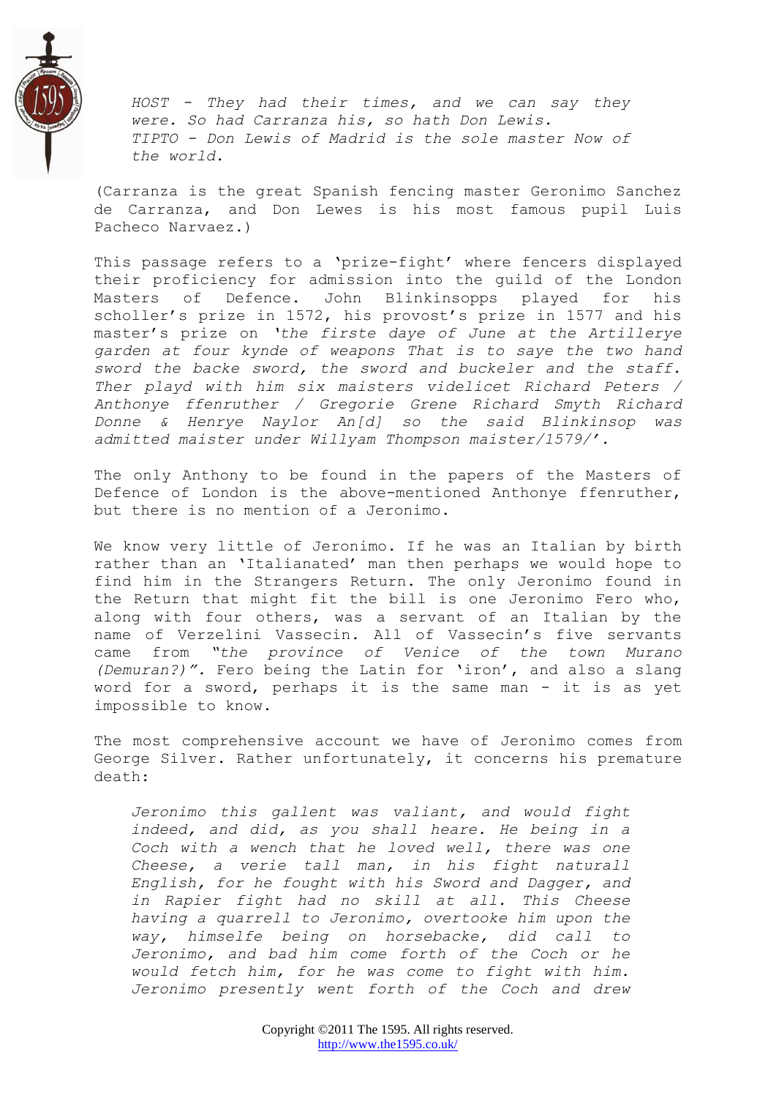

*HOST - They had their times, and we can say they were. So had Carranza his, so hath Don Lewis. TIPTO - Don Lewis of Madrid is the sole master Now of the world.*

(Carranza is the great Spanish fencing master Geronimo Sanchez de Carranza, and Don Lewes is his most famous pupil Luis Pacheco Narvaez.)

This passage refers to a 'prize-fight' where fencers displayed their proficiency for admission into the guild of the London Masters of Defence. John Blinkinsopps played for his scholler's prize in 1572, his provost's prize in 1577 and his master"s prize on *"the firste daye of June at the Artillerye garden at four kynde of weapons That is to saye the two hand sword the backe sword, the sword and buckeler and the staff. Ther playd with him six maisters videlicet Richard Peters / Anthonye ffenruther / Gregorie Grene Richard Smyth Richard Donne & Henrye Naylor An[d] so the said Blinkinsop was admitted maister under Willyam Thompson maister/1579/".* 

The only Anthony to be found in the papers of the Masters of Defence of London is the above-mentioned Anthonye ffenruther, but there is no mention of a Jeronimo.

We know very little of Jeronimo. If he was an Italian by birth rather than an "Italianated" man then perhaps we would hope to find him in the Strangers Return. The only Jeronimo found in the Return that might fit the bill is one Jeronimo Fero who, along with four others, was a servant of an Italian by the name of Verzelini Vassecin. All of Vassecin's five servants came from *"the province of Venice of the town Murano (Demuran?)".* Fero being the Latin for "iron", and also a slang word for a sword, perhaps it is the same man - it is as yet impossible to know.

The most comprehensive account we have of Jeronimo comes from George Silver. Rather unfortunately, it concerns his premature death:

*Jeronimo this gallent was valiant, and would fight indeed, and did, as you shall heare. He being in a Coch with a wench that he loved well, there was one Cheese, a verie tall man, in his fight naturall English, for he fought with his Sword and Dagger, and in Rapier fight had no skill at all. This Cheese having a quarrell to Jeronimo, overtooke him upon the way, himselfe being on horsebacke, did call to Jeronimo, and bad him come forth of the Coch or he would fetch him, for he was come to fight with him. Jeronimo presently went forth of the Coch and drew*